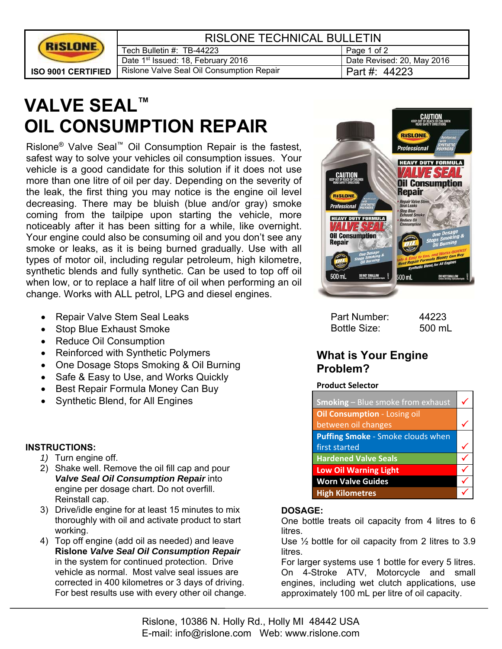

| <b>RISLONE TECHNICAL BULLETIN</b>              |                            |
|------------------------------------------------|----------------------------|
| Tech Bulletin #: TB-44223                      | Page 1 of 2                |
| Date 1 <sup>st</sup> Issued: 18, February 2016 | Date Revised: 20, May 2016 |
| Rislone Valve Seal Oil Consumption Repair      | Part #: 44223              |

# **VALVE SEAL™ OIL CONSUMPTION REPAIR**

Rislone® Valve Seal™ Oil Consumption Repair is the fastest, safest way to solve your vehicles oil consumption issues. Your vehicle is a good candidate for this solution if it does not use more than one litre of oil per day. Depending on the severity of the leak, the first thing you may notice is the engine oil level decreasing. There may be bluish (blue and/or gray) smoke coming from the tailpipe upon starting the vehicle, more noticeably after it has been sitting for a while, like overnight. Your engine could also be consuming oil and you don't see any smoke or leaks, as it is being burned gradually. Use with all types of motor oil, including regular petroleum, high kilometre, synthetic blends and fully synthetic. Can be used to top off oil when low, or to replace a half litre of oil when performing an oil change. Works with ALL petrol, LPG and diesel engines.

- Repair Valve Stem Seal Leaks
- Stop Blue Exhaust Smoke
- Reduce Oil Consumption
- Reinforced with Synthetic Polymers
- One Dosage Stops Smoking & Oil Burning
- Safe & Easy to Use, and Works Quickly
- Best Repair Formula Money Can Buy
- Synthetic Blend, for All Engines

#### **INSTRUCTIONS:**

- *1)* Turn engine off.
- 2) Shake well. Remove the oil fill cap and pour *Valve Seal Oil Consumption Repair* into engine per dosage chart. Do not overfill. Reinstall cap.
- 3) Drive/idle engine for at least 15 minutes to mix thoroughly with oil and activate product to start working.
- 4) Top off engine (add oil as needed) and leave **Rislone** *Valve Seal Oil Consumption Repair* in the system for continued protection. Drive vehicle as normal. Most valve seal issues are corrected in 400 kilometres or 3 days of driving. For best results use with every other oil change.



| Part Number:        | 44223  |
|---------------------|--------|
| <b>Bottle Size:</b> | 500 mL |

# **What is Your Engine Problem?**

#### **Product Selector**

| <b>Smoking</b> - Blue smoke from exhaust |  |
|------------------------------------------|--|
| <b>Oil Consumption - Losing oil</b>      |  |
| between oil changes                      |  |
| Puffing Smoke - Smoke clouds when        |  |
| first started                            |  |
| <b>Hardened Valve Seals</b>              |  |
| <b>Low Oil Warning Light</b>             |  |
| <b>Worn Valve Guides</b>                 |  |
| <b>High Kilometres</b>                   |  |

#### **DOSAGE:**

One bottle treats oil capacity from 4 litres to 6 litres.

Use ½ bottle for oil capacity from 2 litres to 3.9 litres.

For larger systems use 1 bottle for every 5 litres. On 4-Stroke ATV, Motorcycle and small engines, including wet clutch applications, use approximately 100 mL per litre of oil capacity.